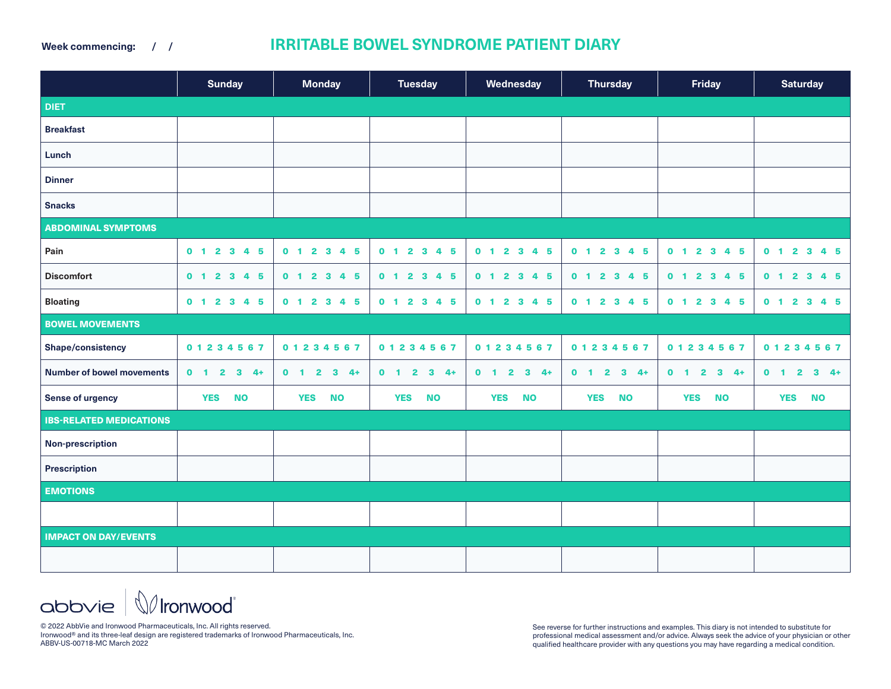**Week commencing: / /**

## **IRRITABLE BOWEL SYNDROME PATIENT DIARY**

|                                  | <b>Sunday</b>                    | <b>Monday</b>                               | <b>Tuesday</b>                                         | Wednesday                                     | <b>Thursday</b>                                        | <b>Friday</b>                                 | <b>Saturday</b>           |
|----------------------------------|----------------------------------|---------------------------------------------|--------------------------------------------------------|-----------------------------------------------|--------------------------------------------------------|-----------------------------------------------|---------------------------|
| <b>DIET</b>                      |                                  |                                             |                                                        |                                               |                                                        |                                               |                           |
| <b>Breakfast</b>                 |                                  |                                             |                                                        |                                               |                                                        |                                               |                           |
| Lunch                            |                                  |                                             |                                                        |                                               |                                                        |                                               |                           |
| <b>Dinner</b>                    |                                  |                                             |                                                        |                                               |                                                        |                                               |                           |
| <b>Snacks</b>                    |                                  |                                             |                                                        |                                               |                                                        |                                               |                           |
| <b>ABDOMINAL SYMPTOMS</b>        |                                  |                                             |                                                        |                                               |                                                        |                                               |                           |
| Pain                             | 0 1 2 3 4 5                      | $2 \quad 3 \quad 4$<br>0 <sub>1</sub><br>5  | 0 1 2 3 4 5                                            | 2 3 4 5<br>0 <sub>1</sub>                     | 0 1 2 3 4 5                                            | $0$ 1 2 3 4 5                                 | $0$ 1 2 3 4 5             |
| <b>Discomfort</b>                | 0 1 2 3 4 5                      | 0 1 2 3 4<br>5                              | 0 1 2 3 4 5                                            | 2 3 4 5<br>0 <sub>1</sub>                     | $0$ 1 2 3<br>4 5                                       | 0 1 2 3 4 5                                   | 2 3 4 5<br>0 <sub>1</sub> |
| <b>Bloating</b>                  | 0 1 2 3 4 5                      | $2 \quad 3 \quad 4$<br>5<br>0 <sub>1</sub>  | 0 1 2 3 4 5                                            | 2 3 4 5<br>0 <sub>1</sub>                     | 0 1 2 3 4 5                                            | 0 1 2 3 4 5                                   | 0 1 2 3 4 5               |
| <b>BOWEL MOVEMENTS</b>           |                                  |                                             |                                                        |                                               |                                                        |                                               |                           |
| Shape/consistency                | 0 1 2 3 4 5 6 7                  | 01234567                                    | 01234567                                               | 01234567                                      | 01234567                                               | 01234567                                      | 01234567                  |
| <b>Number of bowel movements</b> | $0 \quad 1 \quad 2$<br>$3 - 4 +$ | $\mathbf{2}$<br>$3 - 4 +$<br>0 <sub>1</sub> | 0 <sub>1</sub><br>$\mathbf{2}$<br>$\mathbf{3}$<br>$4+$ | $3 + 4 +$<br>0 <sub>1</sub><br>$\overline{2}$ | $\overline{\mathbf{2}}$<br>$3 - 4 +$<br>0 <sub>1</sub> | 0 <sub>1</sub><br>$\overline{2}$<br>$3 + 4 +$ | $0$ 1 2<br>$3 - 4 +$      |
| Sense of urgency                 | <b>YES</b><br><b>NO</b>          | <b>NO</b><br><b>YES</b>                     | <b>YES</b><br><b>NO</b>                                | <b>YES</b><br><b>NO</b>                       | <b>YES</b><br><b>NO</b>                                | <b>YES</b><br><b>NO</b>                       | <b>NO</b><br><b>YES</b>   |
| <b>IBS-RELATED MEDICATIONS</b>   |                                  |                                             |                                                        |                                               |                                                        |                                               |                           |
| <b>Non-prescription</b>          |                                  |                                             |                                                        |                                               |                                                        |                                               |                           |
| Prescription                     |                                  |                                             |                                                        |                                               |                                                        |                                               |                           |
| <b>EMOTIONS</b>                  |                                  |                                             |                                                        |                                               |                                                        |                                               |                           |
|                                  |                                  |                                             |                                                        |                                               |                                                        |                                               |                           |
| <b>IMPACT ON DAY/EVENTS</b>      |                                  |                                             |                                                        |                                               |                                                        |                                               |                           |
|                                  |                                  |                                             |                                                        |                                               |                                                        |                                               |                           |

 $\Delta$ bb $\vee$ ie  $|\mathbb{Q}$ Ironwood

© 2022 AbbVie and Ironwood Pharmaceuticals, Inc. All rights reserved. Ironwood® and its three-leaf design are registered trademarks of Ironwood Pharmaceuticals, Inc. ABBV-US-00718-MC March 2022

See reverse for further instructions and examples. This diary is not intended to substitute for professional medical assessment and/or advice. Always seek the advice of your physician or other qualified healthcare provider with any questions you may have regarding a medical condition.